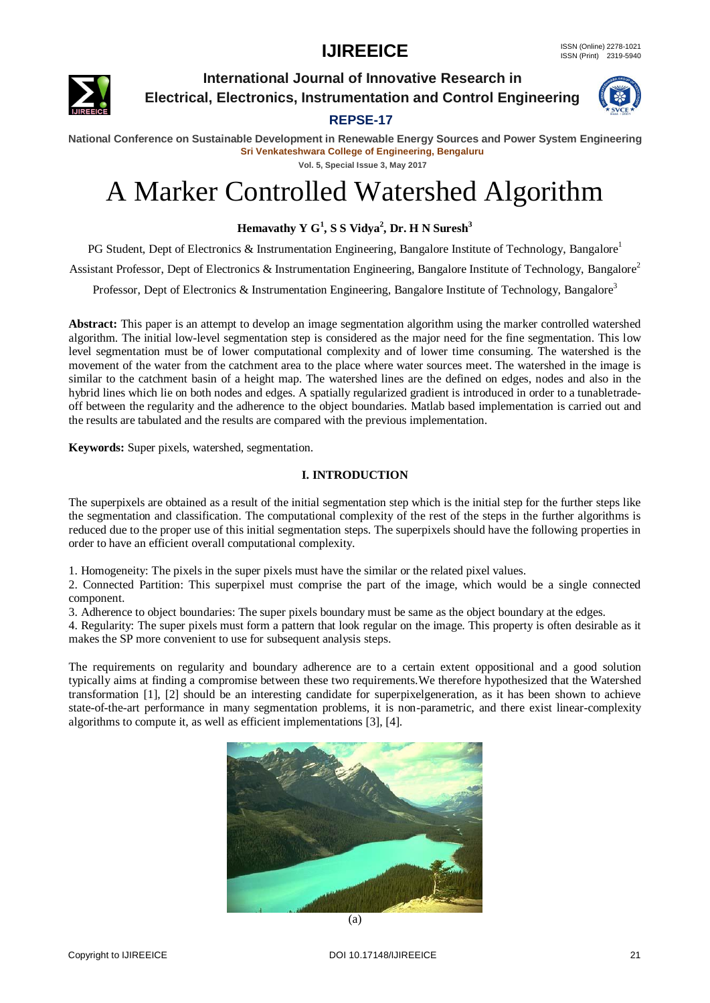

**International Journal of Innovative Research in Electrical, Electronics, Instrumentation and Control Engineering**

**REPSE-17 National Conference on Sustainable Development in Renewable Energy Sources and Power System Engineering Sri Venkateshwara College of Engineering, Bengaluru**

**Vol. 5, Special Issue 3, May 2017**

# A Marker Controlled Watershed Algorithm

**Hemavathy Y G<sup>1</sup> , S S Vidya<sup>2</sup> , Dr. H N Suresh<sup>3</sup>**

PG Student, Dept of Electronics & Instrumentation Engineering, Bangalore Institute of Technology, Bangalore<sup>1</sup>

Assistant Professor, Dept of Electronics & Instrumentation Engineering, Bangalore Institute of Technology, Bangalore<sup>2</sup>

Professor, Dept of Electronics & Instrumentation Engineering, Bangalore Institute of Technology, Bangalore<sup>3</sup>

**Abstract:** This paper is an attempt to develop an image segmentation algorithm using the marker controlled watershed algorithm. The initial low-level segmentation step is considered as the major need for the fine segmentation. This low level segmentation must be of lower computational complexity and of lower time consuming. The watershed is the movement of the water from the catchment area to the place where water sources meet. The watershed in the image is similar to the catchment basin of a height map. The watershed lines are the defined on edges, nodes and also in the hybrid lines which lie on both nodes and edges. A spatially regularized gradient is introduced in order to a tunabletradeoff between the regularity and the adherence to the object boundaries. Matlab based implementation is carried out and the results are tabulated and the results are compared with the previous implementation.

**Keywords:** Super pixels, watershed, segmentation.

#### **I. INTRODUCTION**

The superpixels are obtained as a result of the initial segmentation step which is the initial step for the further steps like the segmentation and classification. The computational complexity of the rest of the steps in the further algorithms is reduced due to the proper use of this initial segmentation steps. The superpixels should have the following properties in order to have an efficient overall computational complexity.

1. Homogeneity: The pixels in the super pixels must have the similar or the related pixel values.

2. Connected Partition: This superpixel must comprise the part of the image, which would be a single connected component.

3. Adherence to object boundaries: The super pixels boundary must be same as the object boundary at the edges.

4. Regularity: The super pixels must form a pattern that look regular on the image. This property is often desirable as it makes the SP more convenient to use for subsequent analysis steps.

The requirements on regularity and boundary adherence are to a certain extent oppositional and a good solution typically aims at finding a compromise between these two requirements.We therefore hypothesized that the Watershed transformation [1], [2] should be an interesting candidate for superpixelgeneration, as it has been shown to achieve state-of-the-art performance in many segmentation problems, it is non-parametric, and there exist linear-complexity algorithms to compute it, as well as efficient implementations [3], [4].



(a)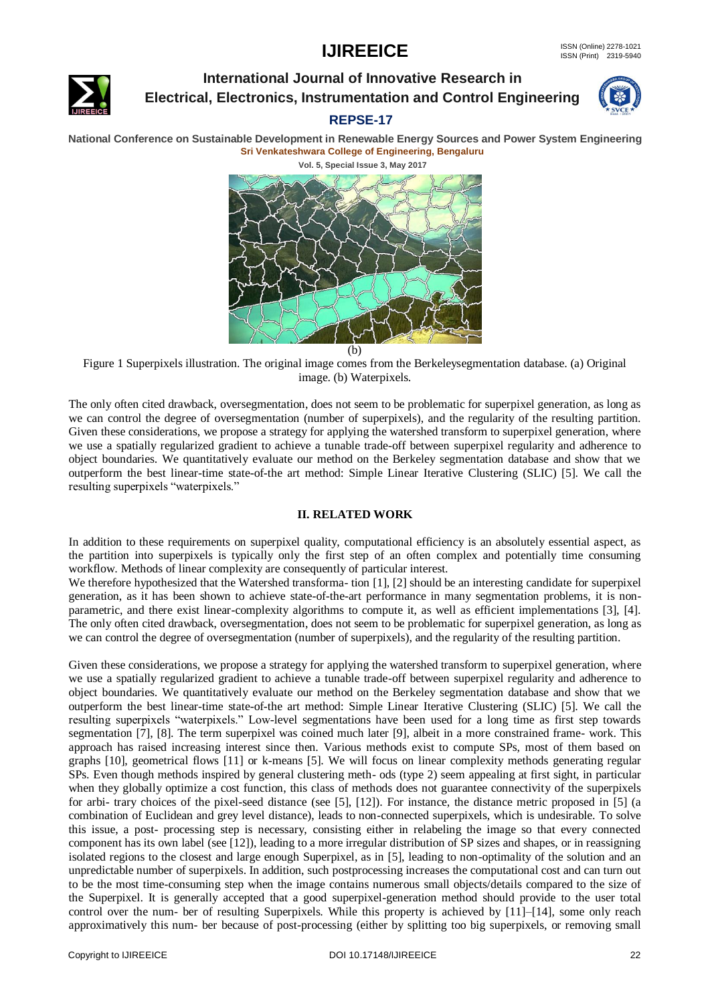

### **International Journal of Innovative Research in Electrical, Electronics, Instrumentation and Control Engineering**



#### **REPSE-17**

**National Conference on Sustainable Development in Renewable Energy Sources and Power System Engineering Sri Venkateshwara College of Engineering, Bengaluru**

**Vol. 5, Special Issue 3, May 2017**



Figure 1 Superpixels illustration. The original image comes from the Berkeleysegmentation database. (a) Original image. (b) Waterpixels.

The only often cited drawback, oversegmentation, does not seem to be problematic for superpixel generation, as long as we can control the degree of oversegmentation (number of superpixels), and the regularity of the resulting partition. Given these considerations, we propose a strategy for applying the watershed transform to superpixel generation, where we use a spatially regularized gradient to achieve a tunable trade-off between superpixel regularity and adherence to object boundaries. We quantitatively evaluate our method on the Berkeley segmentation database and show that we outperform the best linear-time state-of-the art method: Simple Linear Iterative Clustering (SLIC) [5]. We call the resulting superpixels "waterpixels."

#### **II. RELATED WORK**

In addition to these requirements on superpixel quality, computational efficiency is an absolutely essential aspect, as the partition into superpixels is typically only the first step of an often complex and potentially time consuming workflow. Methods of linear complexity are consequently of particular interest.

We therefore hypothesized that the Watershed transforma- tion [1], [2] should be an interesting candidate for superpixel generation, as it has been shown to achieve state-of-the-art performance in many segmentation problems, it is nonparametric, and there exist linear-complexity algorithms to compute it, as well as efficient implementations [3], [4]. The only often cited drawback, oversegmentation, does not seem to be problematic for superpixel generation, as long as we can control the degree of oversegmentation (number of superpixels), and the regularity of the resulting partition.

Given these considerations, we propose a strategy for applying the watershed transform to superpixel generation, where we use a spatially regularized gradient to achieve a tunable trade-off between superpixel regularity and adherence to object boundaries. We quantitatively evaluate our method on the Berkeley segmentation database and show that we outperform the best linear-time state-of-the art method: Simple Linear Iterative Clustering (SLIC) [5]. We call the resulting superpixels "waterpixels." Low-level segmentations have been used for a long time as first step towards segmentation [7], [8]. The term superpixel was coined much later [9], albeit in a more constrained frame- work. This approach has raised increasing interest since then. Various methods exist to compute SPs, most of them based on graphs [10], geometrical flows [11] or k-means [5]. We will focus on linear complexity methods generating regular SPs. Even though methods inspired by general clustering meth- ods (type 2) seem appealing at first sight, in particular when they globally optimize a cost function, this class of methods does not guarantee connectivity of the superpixels for arbi- trary choices of the pixel-seed distance (see [5], [12]). For instance, the distance metric proposed in [5] (a combination of Euclidean and grey level distance), leads to non-connected superpixels, which is undesirable. To solve this issue, a post- processing step is necessary, consisting either in relabeling the image so that every connected component has its own label (see [12]), leading to a more irregular distribution of SP sizes and shapes, or in reassigning isolated regions to the closest and large enough Superpixel, as in [5], leading to non-optimality of the solution and an unpredictable number of superpixels. In addition, such postprocessing increases the computational cost and can turn out to be the most time-consuming step when the image contains numerous small objects/details compared to the size of the Superpixel. It is generally accepted that a good superpixel-generation method should provide to the user total control over the num- ber of resulting Superpixels. While this property is achieved by [11]–[14], some only reach approximatively this num- ber because of post-processing (either by splitting too big superpixels, or removing small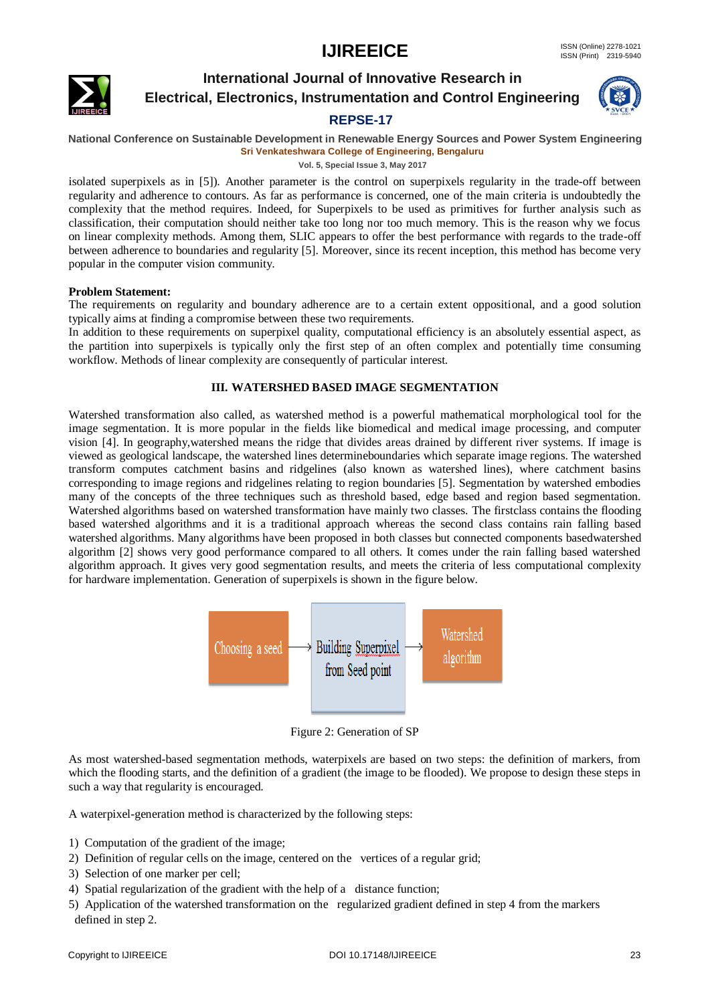

## **International Journal of Innovative Research in Electrical, Electronics, Instrumentation and Control Engineering**



#### **REPSE-17**

#### **National Conference on Sustainable Development in Renewable Energy Sources and Power System Engineering Sri Venkateshwara College of Engineering, Bengaluru**

**Vol. 5, Special Issue 3, May 2017**

isolated superpixels as in [5]). Another parameter is the control on superpixels regularity in the trade-off between regularity and adherence to contours. As far as performance is concerned, one of the main criteria is undoubtedly the complexity that the method requires. Indeed, for Superpixels to be used as primitives for further analysis such as classification, their computation should neither take too long nor too much memory. This is the reason why we focus on linear complexity methods. Among them, SLIC appears to offer the best performance with regards to the trade-off between adherence to boundaries and regularity [5]. Moreover, since its recent inception, this method has become very popular in the computer vision community.

#### **Problem Statement:**

The requirements on regularity and boundary adherence are to a certain extent oppositional, and a good solution typically aims at finding a compromise between these two requirements.

In addition to these requirements on superpixel quality, computational efficiency is an absolutely essential aspect, as the partition into superpixels is typically only the first step of an often complex and potentially time consuming workflow. Methods of linear complexity are consequently of particular interest.

#### **III. WATERSHED BASED IMAGE SEGMENTATION**

Watershed transformation also called, as watershed method is a powerful mathematical morphological tool for the image segmentation. It is more popular in the fields like biomedical and medical image processing, and computer vision [4]. In geography,watershed means the ridge that divides areas drained by different river systems. If image is viewed as geological landscape, the watershed lines determineboundaries which separate image regions. The watershed transform computes catchment basins and ridgelines (also known as watershed lines), where catchment basins corresponding to image regions and ridgelines relating to region boundaries [5]. Segmentation by watershed embodies many of the concepts of the three techniques such as threshold based, edge based and region based segmentation. Watershed algorithms based on watershed transformation have mainly two classes. The firstclass contains the flooding based watershed algorithms and it is a traditional approach whereas the second class contains rain falling based watershed algorithms. Many algorithms have been proposed in both classes but connected components basedwatershed algorithm [2] shows very good performance compared to all others. It comes under the rain falling based watershed algorithm approach. It gives very good segmentation results, and meets the criteria of less computational complexity for hardware implementation. Generation of superpixels is shown in the figure below.



Figure 2: Generation of SP

As most watershed-based segmentation methods, waterpixels are based on two steps: the definition of markers, from which the flooding starts, and the definition of a gradient (the image to be flooded). We propose to design these steps in such a way that regularity is encouraged.

A waterpixel-generation method is characterized by the following steps:

- 1) Computation of the gradient of the image;
- 2) Definition of regular cells on the image, centered on the vertices of a regular grid;
- 3) Selection of one marker per cell;
- 4) Spatial regularization of the gradient with the help of a distance function;
- 5) Application of the watershed transformation on the regularized gradient defined in step 4 from the markers defined in step 2.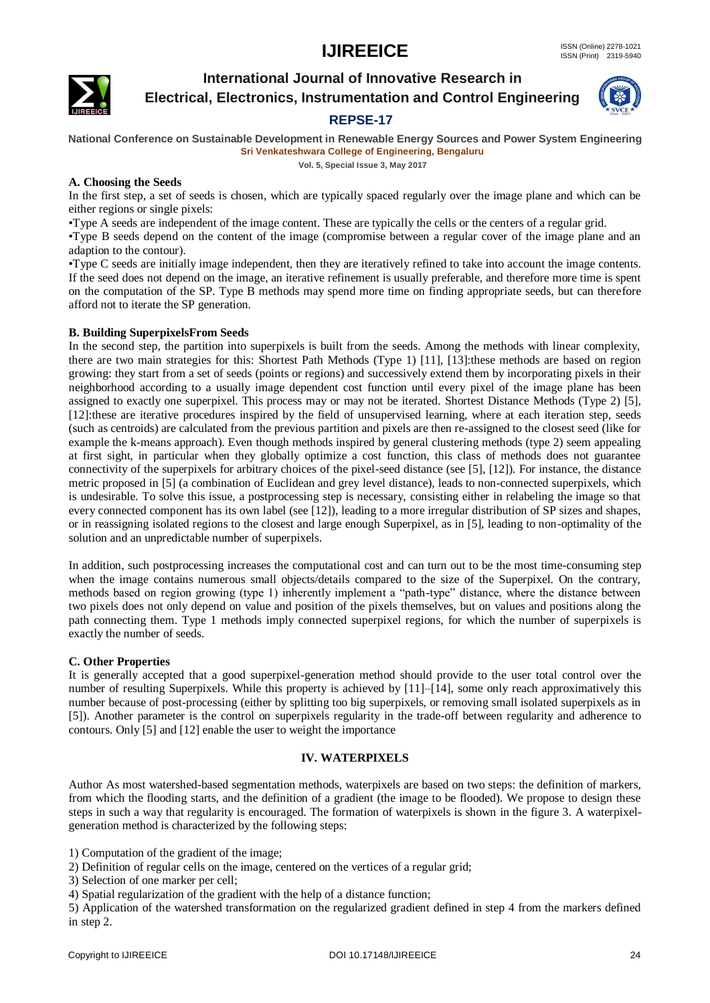

### **International Journal of Innovative Research in Electrical, Electronics, Instrumentation and Control Engineering**



### **REPSE-17**

**National Conference on Sustainable Development in Renewable Energy Sources and Power System Engineering Sri Venkateshwara College of Engineering, Bengaluru**

**Vol. 5, Special Issue 3, May 2017**

#### **A. Choosing the Seeds**

In the first step, a set of seeds is chosen, which are typically spaced regularly over the image plane and which can be either regions or single pixels:

•Type A seeds are independent of the image content. These are typically the cells or the centers of a regular grid.

•Type B seeds depend on the content of the image (compromise between a regular cover of the image plane and an adaption to the contour).

•Type C seeds are initially image independent, then they are iteratively refined to take into account the image contents. If the seed does not depend on the image, an iterative refinement is usually preferable, and therefore more time is spent on the computation of the SP. Type B methods may spend more time on finding appropriate seeds, but can therefore afford not to iterate the SP generation.

#### **B. Building SuperpixelsFrom Seeds**

In the second step, the partition into superpixels is built from the seeds. Among the methods with linear complexity, there are two main strategies for this: Shortest Path Methods (Type 1) [11], [13]: these methods are based on region growing: they start from a set of seeds (points or regions) and successively extend them by incorporating pixels in their neighborhood according to a usually image dependent cost function until every pixel of the image plane has been assigned to exactly one superpixel. This process may or may not be iterated. Shortest Distance Methods (Type 2) [5], [12]:these are iterative procedures inspired by the field of unsupervised learning, where at each iteration step, seeds (such as centroids) are calculated from the previous partition and pixels are then re-assigned to the closest seed (like for example the k-means approach). Even though methods inspired by general clustering methods (type 2) seem appealing at first sight, in particular when they globally optimize a cost function, this class of methods does not guarantee connectivity of the superpixels for arbitrary choices of the pixel-seed distance (see [5], [12]). For instance, the distance metric proposed in [5] (a combination of Euclidean and grey level distance), leads to non-connected superpixels, which is undesirable. To solve this issue, a postprocessing step is necessary, consisting either in relabeling the image so that every connected component has its own label (see [12]), leading to a more irregular distribution of SP sizes and shapes, or in reassigning isolated regions to the closest and large enough Superpixel, as in [5], leading to non-optimality of the solution and an unpredictable number of superpixels.

In addition, such postprocessing increases the computational cost and can turn out to be the most time-consuming step when the image contains numerous small objects/details compared to the size of the Superpixel. On the contrary, methods based on region growing (type 1) inherently implement a "path-type" distance, where the distance between two pixels does not only depend on value and position of the pixels themselves, but on values and positions along the path connecting them. Type 1 methods imply connected superpixel regions, for which the number of superpixels is exactly the number of seeds.

#### **C. Other Properties**

It is generally accepted that a good superpixel-generation method should provide to the user total control over the number of resulting Superpixels. While this property is achieved by [11]–[14], some only reach approximatively this number because of post-processing (either by splitting too big superpixels, or removing small isolated superpixels as in [5]). Another parameter is the control on superpixels regularity in the trade-off between regularity and adherence to contours. Only [5] and [12] enable the user to weight the importance

#### **IV. WATERPIXELS**

Author As most watershed-based segmentation methods, waterpixels are based on two steps: the definition of markers, from which the flooding starts, and the definition of a gradient (the image to be flooded). We propose to design these steps in such a way that regularity is encouraged. The formation of waterpixels is shown in the figure 3. A waterpixelgeneration method is characterized by the following steps:

1) Computation of the gradient of the image;

2) Definition of regular cells on the image, centered on the vertices of a regular grid;

3) Selection of one marker per cell;

4) Spatial regularization of the gradient with the help of a distance function;

5) Application of the watershed transformation on the regularized gradient defined in step 4 from the markers defined in step 2.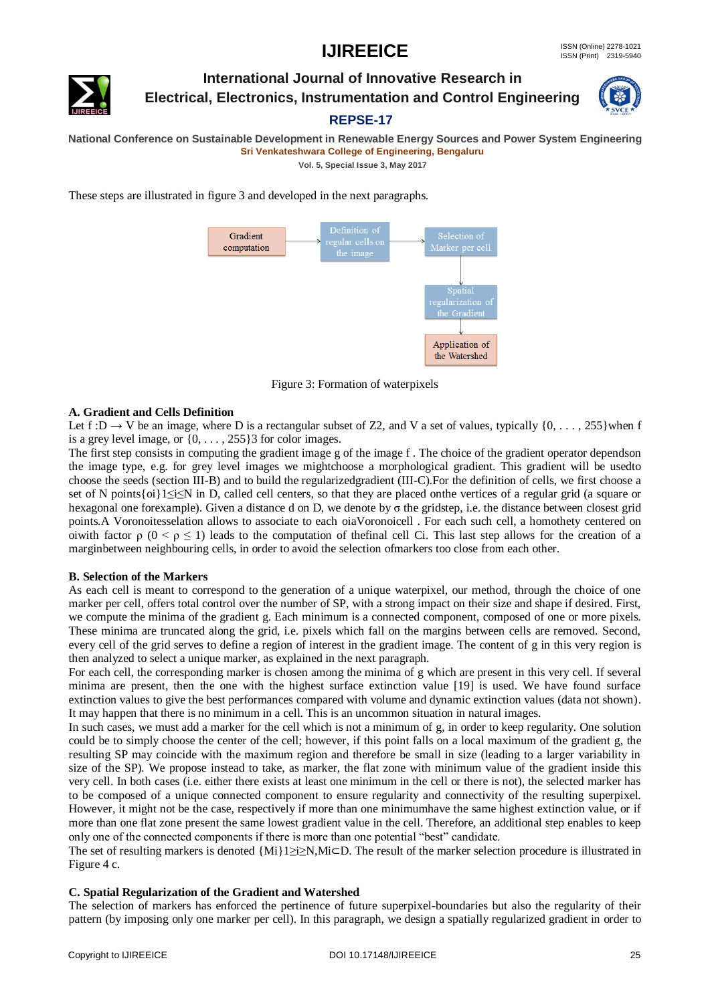

### **International Journal of Innovative Research in Electrical, Electronics, Instrumentation and Control Engineering**



#### **REPSE-17**

**National Conference on Sustainable Development in Renewable Energy Sources and Power System Engineering Sri Venkateshwara College of Engineering, Bengaluru**

**Vol. 5, Special Issue 3, May 2017**

These steps are illustrated in figure 3 and developed in the next paragraphs.



Figure 3: Formation of waterpixels

#### **A. Gradient and Cells Definition**

Let f : D  $\rightarrow$  V be an image, where D is a rectangular subset of Z2, and V a set of values, typically {0, . . . , 255} when f is a grey level image, or  $\{0, \ldots, 255\}$  for color images.

The first step consists in computing the gradient image g of the image f . The choice of the gradient operator dependson the image type, e.g. for grey level images we mightchoose a morphological gradient. This gradient will be usedto choose the seeds (section III-B) and to build the regularizedgradient (III-C).For the definition of cells, we first choose a set of N points{oi}1≤i≤N in D, called cell centers, so that they are placed onthe vertices of a regular grid (a square or hexagonal one forexample). Given a distance d on D, we denote by σ the gridstep, i.e. the distance between closest grid points.A Voronoitesselation allows to associate to each oiaVoronoicell . For each such cell, a homothety centered on oiwith factor ρ ( $0 \le \rho \le 1$ ) leads to the computation of thefinal cell Ci. This last step allows for the creation of a marginbetween neighbouring cells, in order to avoid the selection ofmarkers too close from each other.

#### **B. Selection of the Markers**

As each cell is meant to correspond to the generation of a unique waterpixel, our method, through the choice of one marker per cell, offers total control over the number of SP, with a strong impact on their size and shape if desired. First, we compute the minima of the gradient g. Each minimum is a connected component, composed of one or more pixels. These minima are truncated along the grid, i.e. pixels which fall on the margins between cells are removed. Second, every cell of the grid serves to define a region of interest in the gradient image. The content of g in this very region is then analyzed to select a unique marker, as explained in the next paragraph.

For each cell, the corresponding marker is chosen among the minima of g which are present in this very cell. If several minima are present, then the one with the highest surface extinction value [19] is used. We have found surface extinction values to give the best performances compared with volume and dynamic extinction values (data not shown). It may happen that there is no minimum in a cell. This is an uncommon situation in natural images.

In such cases, we must add a marker for the cell which is not a minimum of g, in order to keep regularity. One solution could be to simply choose the center of the cell; however, if this point falls on a local maximum of the gradient g, the resulting SP may coincide with the maximum region and therefore be small in size (leading to a larger variability in size of the SP). We propose instead to take, as marker, the flat zone with minimum value of the gradient inside this very cell. In both cases (i.e. either there exists at least one minimum in the cell or there is not), the selected marker has to be composed of a unique connected component to ensure regularity and connectivity of the resulting superpixel. However, it might not be the case, respectively if more than one minimumhave the same highest extinction value, or if more than one flat zone present the same lowest gradient value in the cell. Therefore, an additional step enables to keep only one of the connected components if there is more than one potential "best" candidate.

The set of resulting markers is denoted {Mi}1≥i≥N,Mi⊂D. The result of the marker selection procedure is illustrated in Figure 4 c.

#### **C. Spatial Regularization of the Gradient and Watershed**

The selection of markers has enforced the pertinence of future superpixel-boundaries but also the regularity of their pattern (by imposing only one marker per cell). In this paragraph, we design a spatially regularized gradient in order to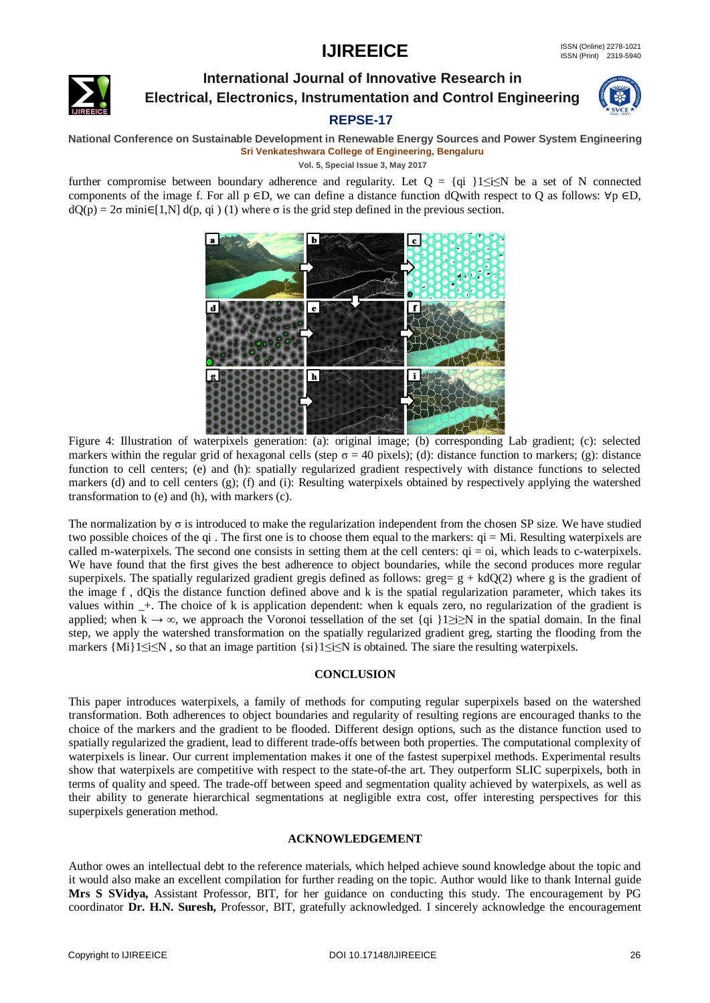

## **International Journal of Innovative Research in Electrical, Electronics, Instrumentation and Control Engineering**



# **REPSE-17**

**National Conference on Sustainable Development in Renewable Energy Sources and Power System Engineering Sri Venkateshwara College of Engineering, Bengaluru**

**Vol. 5, Special Issue 3, May 2017**

further compromise between boundary adherence and regularity. Let  $Q = \{qi | 1 \le i \le N \}$  be a set of N connected components of the image f. For all p ∈D, we can define a distance function dQwith respect to Q as follows:  $\forall p \in D$ ,  $dQ(p) = 2\sigma$  mini∈[1,N]  $d(p, qi)$  (1) where  $\sigma$  is the grid step defined in the previous section.



Figure 4: Illustration of waterpixels generation: (a): original image; (b) corresponding Lab gradient; (c): selected markers within the regular grid of hexagonal cells (step  $\sigma = 40$  pixels); (d): distance function to markers; (g): distance function to cell centers; (e) and (h): spatially regularized gradient respectively with distance functions to selected markers (d) and to cell centers (g); (f) and (i): Resulting waterpixels obtained by respectively applying the watershed transformation to (e) and (h), with markers (c).

The normalization by  $\sigma$  is introduced to make the regularization independent from the chosen SP size. We have studied two possible choices of the qi. The first one is to choose them equal to the markers:  $qi = Mi$ . Resulting waterpixels are called m-waterpixels. The second one consists in setting them at the cell centers:  $qi = oi$ , which leads to c-waterpixels. We have found that the first gives the best adherence to object boundaries, while the second produces more regular superpixels. The spatially regularized gradient gregis defined as follows:  $\text{greg} = g + \text{kd}Q(2)$  where g is the gradient of the image f , dQis the distance function defined above and k is the spatial regularization parameter, which takes its values within \_+. The choice of k is application dependent: when k equals zero, no regularization of the gradient is applied; when  $k \to \infty$ , we approach the Voronoi tessellation of the set {qi}1 $\geq \geq N$  in the spatial domain. In the final step, we apply the watershed transformation on the spatially regularized gradient greg, starting the flooding from the markers  $\{Mi\}1\le i\le N$ , so that an image partition  $\{si\}1\le i\le N$  is obtained. The siare the resulting waterpixels.

#### **CONCLUSION**

This paper introduces waterpixels, a family of methods for computing regular superpixels based on the watershed transformation. Both adherences to object boundaries and regularity of resulting regions are encouraged thanks to the choice of the markers and the gradient to be flooded. Different design options, such as the distance function used to spatially regularized the gradient, lead to different trade-offs between both properties. The computational complexity of waterpixels is linear. Our current implementation makes it one of the fastest superpixel methods. Experimental results show that waterpixels are competitive with respect to the state-of-the art. They outperform SLIC superpixels, both in terms of quality and speed. The trade-off between speed and segmentation quality achieved by waterpixels, as well as their ability to generate hierarchical segmentations at negligible extra cost, offer interesting perspectives for this superpixels generation method.

#### **ACKNOWLEDGEMENT**

Author owes an intellectual debt to the reference materials, which helped achieve sound knowledge about the topic and it would also make an excellent compilation for further reading on the topic. Author would like to thank Internal guide **Mrs S SVidya,** Assistant Professor, BIT, for her guidance on conducting this study. The encouragement by PG coordinator **Dr. H.N. Suresh,** Professor, BIT, gratefully acknowledged. I sincerely acknowledge the encouragement